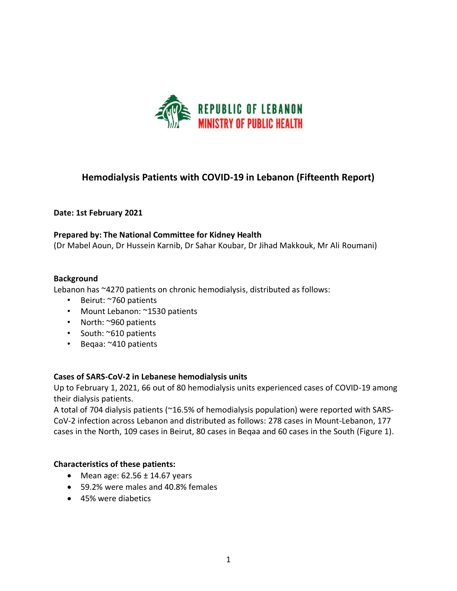

# **Hemodialysis Patients with COVID-19 in Lebanon (Fifteenth Report)**

### **Date: 1st February 2021**

#### **Prepared by: The National Committee for Kidney Health**

(Dr Mabel Aoun, Dr Hussein Karnib, Dr Sahar Koubar, Dr Jihad Makkouk, Mr Ali Roumani)

#### **Background**

Lebanon has ~4270 patients on chronic hemodialysis, distributed as follows:

- Beirut: ~760 patients
- Mount Lebanon: ~1530 patients
- North: ~960 patients
- South: ~610 patients
- Beqaa: ~410 patients

### **Cases of SARS-CoV-2 in Lebanese hemodialysis units**

Up to February 1, 2021, 66 out of 80 hemodialysis units experienced cases of COVID-19 among their dialysis patients.

A total of 704 dialysis patients (~16.5% of hemodialysis population) were reported with SARS-CoV-2 infection across Lebanon and distributed as follows: 278 cases in Mount-Lebanon, 177 cases in the North, 109 cases in Beirut, 80 cases in Beqaa and 60 cases in the South (Figure 1).

#### **Characteristics of these patients:**

- Mean age:  $62.56 \pm 14.67$  years
- 59.2% were males and 40.8% females
- 45% were diabetics